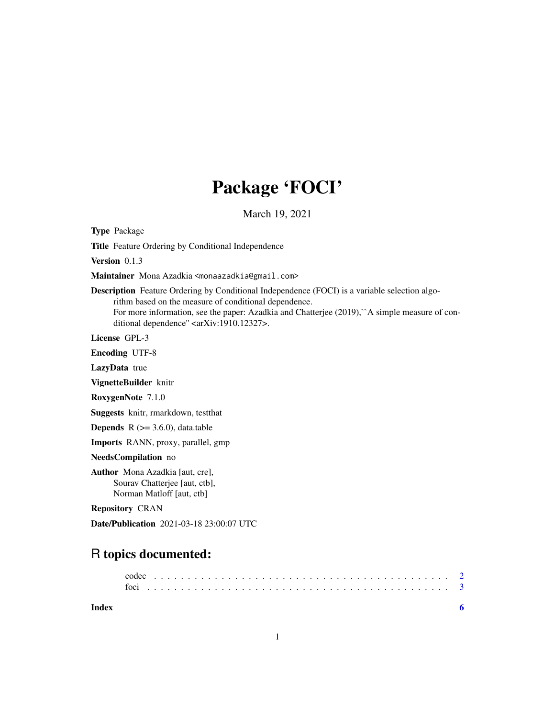# Package 'FOCI'

March 19, 2021

<span id="page-0-0"></span>Type Package

Title Feature Ordering by Conditional Independence

Version 0.1.3

Maintainer Mona Azadkia <monaazadkia@gmail.com>

Description Feature Ordering by Conditional Independence (FOCI) is a variable selection algorithm based on the measure of conditional dependence. For more information, see the paper: Azadkia and Chatterjee (2019), A simple measure of conditional dependence" <arXiv:1910.12327>.

License GPL-3

Encoding UTF-8

LazyData true

VignetteBuilder knitr

RoxygenNote 7.1.0

Suggests knitr, rmarkdown, testthat

**Depends**  $R$  ( $> = 3.6.0$ ), data.table

Imports RANN, proxy, parallel, gmp

NeedsCompilation no

Author Mona Azadkia [aut, cre], Sourav Chatterjee [aut, ctb], Norman Matloff [aut, ctb]

Repository CRAN

Date/Publication 2021-03-18 23:00:07 UTC

# R topics documented:

**Index** [6](#page-5-0) **6**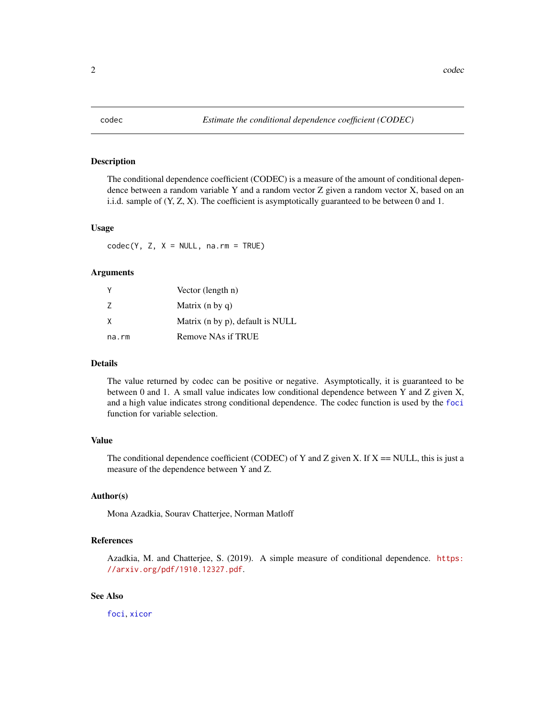<span id="page-1-1"></span><span id="page-1-0"></span>

# **Description**

The conditional dependence coefficient (CODEC) is a measure of the amount of conditional dependence between a random variable Y and a random vector Z given a random vector X, based on an i.i.d. sample of (Y, Z, X). The coefficient is asymptotically guaranteed to be between 0 and 1.

# Usage

 $codec(Y, Z, X = NULL, na.rm = TRUE)$ 

#### Arguments

|       | Vector (length n)                |
|-------|----------------------------------|
| 7     | Matrix $(n \, by \, q)$          |
| X     | Matrix (n by p), default is NULL |
| na.rm | Remove NAs if TRUE               |

# Details

The value returned by codec can be positive or negative. Asymptotically, it is guaranteed to be between 0 and 1. A small value indicates low conditional dependence between Y and Z given X, and a high value indicates strong conditional dependence. The codec function is used by the [foci](#page-2-1) function for variable selection.

# Value

The conditional dependence coefficient (CODEC) of Y and Z given X. If  $X = NULL$ , this is just a measure of the dependence between Y and Z.

# Author(s)

Mona Azadkia, Sourav Chatterjee, Norman Matloff

# References

Azadkia, M. and Chatterjee, S. (2019). A simple measure of conditional dependence. [https:](https://arxiv.org/pdf/1910.12327.pdf) [//arxiv.org/pdf/1910.12327.pdf](https://arxiv.org/pdf/1910.12327.pdf).

# See Also

[foci](#page-2-1), [xicor](#page-0-0)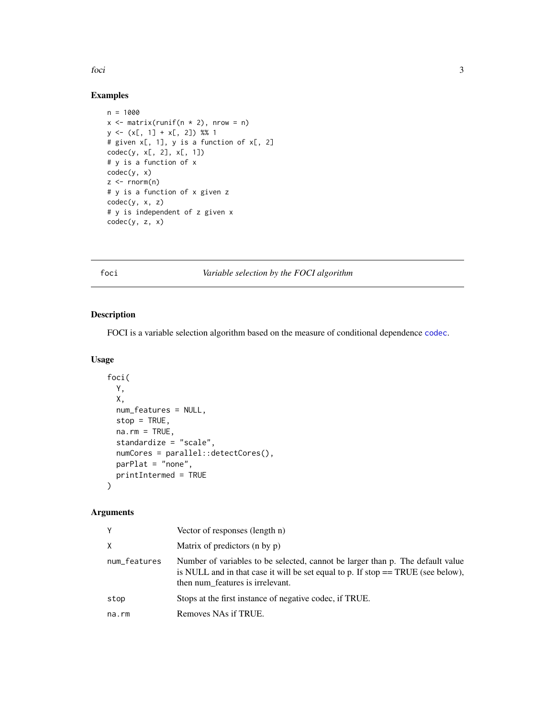## <span id="page-2-0"></span>foci de la seu de la seu de la seu de la seu de la seu de la seu de la seu de la seu de la seu de la seu de la

# Examples

```
n = 1000x \le matrix(runif(n * 2), nrow = n)
y \leftarrow (x[, 1] + x[, 2]) %% 1
# given x[, 1], y is a function of x[, 2]
codec(y, x[, 2], x[, 1])# y is a function of x
codec(y, x)
z \le rnorm(n)
# y is a function of x given z
codec(y, x, z)
# y is independent of z given x
codec(y, z, x)
```
# <span id="page-2-1"></span>foci *Variable selection by the FOCI algorithm*

# Description

FOCI is a variable selection algorithm based on the measure of conditional dependence [codec](#page-1-1).

# Usage

```
foci(
 Y,
 X,
 num_features = NULL,
 stop = TRUE,na.rm = TRUE,standardize = "scale",
 numCores = parallel::detectCores(),
 parPlat = "none",
 printIntermed = TRUE
)
```
# Arguments

| Y            | Vector of responses (length n)                                                                                                                                                                           |
|--------------|----------------------------------------------------------------------------------------------------------------------------------------------------------------------------------------------------------|
| X            | Matrix of predictors (n by p)                                                                                                                                                                            |
| num_features | Number of variables to be selected, cannot be larger than p. The default value<br>is NULL and in that case it will be set equal to p. If stop $==$ TRUE (see below),<br>then num features is irrelevant. |
| stop         | Stops at the first instance of negative codec, if TRUE.                                                                                                                                                  |
| na.rm        | Removes NAs if TRUE.                                                                                                                                                                                     |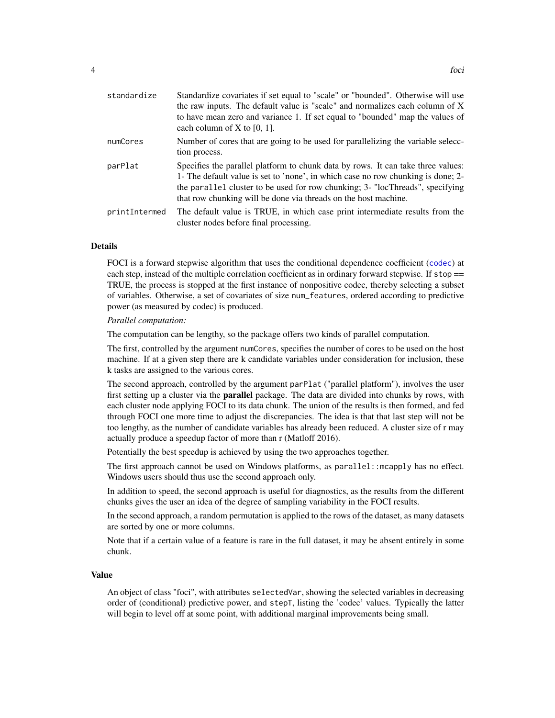| standardize   | Standardize covariates if set equal to "scale" or "bounded". Otherwise will use<br>the raw inputs. The default value is "scale" and normalizes each column of X<br>to have mean zero and variance 1. If set equal to "bounded" map the values of<br>each column of X to $[0, 1]$ .                                       |
|---------------|--------------------------------------------------------------------------------------------------------------------------------------------------------------------------------------------------------------------------------------------------------------------------------------------------------------------------|
| numCores      | Number of cores that are going to be used for parallelizing the variable selecc-<br>tion process.                                                                                                                                                                                                                        |
| parPlat       | Specifies the parallel platform to chunk data by rows. It can take three values:<br>1- The default value is set to 'none', in which case no row chunking is done; 2-<br>the parallel cluster to be used for row chunking; 3- "locThreads", specifying<br>that row chunking will be done via threads on the host machine. |
| printIntermed | The default value is TRUE, in which case print intermediate results from the<br>cluster nodes before final processing.                                                                                                                                                                                                   |

# Details

FOCI is a forward stepwise algorithm that uses the conditional dependence coefficient ([codec](#page-1-1)) at each step, instead of the multiple correlation coefficient as in ordinary forward stepwise. If stop == TRUE, the process is stopped at the first instance of nonpositive codec, thereby selecting a subset of variables. Otherwise, a set of covariates of size num\_features, ordered according to predictive power (as measured by codec) is produced.

# *Parallel computation:*

The computation can be lengthy, so the package offers two kinds of parallel computation.

The first, controlled by the argument numCores, specifies the number of cores to be used on the host machine. If at a given step there are k candidate variables under consideration for inclusion, these k tasks are assigned to the various cores.

The second approach, controlled by the argument parPlat ("parallel platform"), involves the user first setting up a cluster via the **parallel** package. The data are divided into chunks by rows, with each cluster node applying FOCI to its data chunk. The union of the results is then formed, and fed through FOCI one more time to adjust the discrepancies. The idea is that that last step will not be too lengthy, as the number of candidate variables has already been reduced. A cluster size of r may actually produce a speedup factor of more than r (Matloff 2016).

Potentially the best speedup is achieved by using the two approaches together.

The first approach cannot be used on Windows platforms, as parallel::mcapply has no effect. Windows users should thus use the second approach only.

In addition to speed, the second approach is useful for diagnostics, as the results from the different chunks gives the user an idea of the degree of sampling variability in the FOCI results.

In the second approach, a random permutation is applied to the rows of the dataset, as many datasets are sorted by one or more columns.

Note that if a certain value of a feature is rare in the full dataset, it may be absent entirely in some chunk.

# Value

An object of class "foci", with attributes selectedVar, showing the selected variables in decreasing order of (conditional) predictive power, and stepT, listing the 'codec' values. Typically the latter will begin to level off at some point, with additional marginal improvements being small.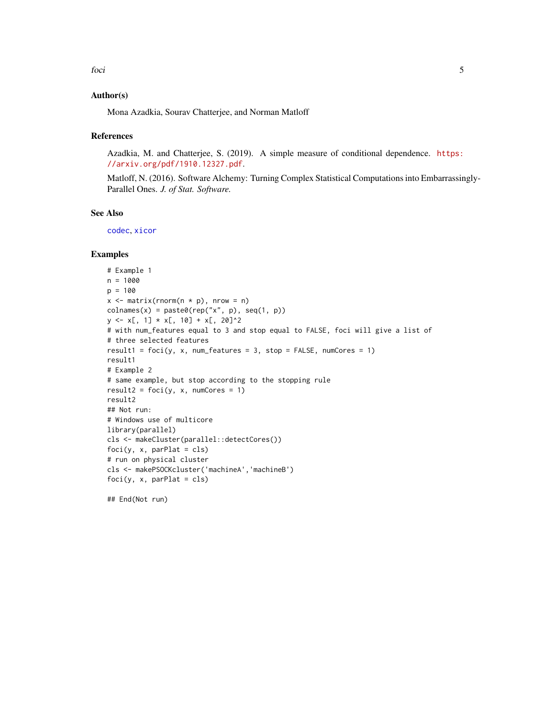# <span id="page-4-0"></span>Author(s)

Mona Azadkia, Sourav Chatterjee, and Norman Matloff

## References

Azadkia, M. and Chatterjee, S. (2019). A simple measure of conditional dependence. [https:](https://arxiv.org/pdf/1910.12327.pdf) [//arxiv.org/pdf/1910.12327.pdf](https://arxiv.org/pdf/1910.12327.pdf).

Matloff, N. (2016). Software Alchemy: Turning Complex Statistical Computations into Embarrassingly-Parallel Ones. *J. of Stat. Software.*

# See Also

[codec](#page-1-1), [xicor](#page-0-0)

# Examples

```
# Example 1
n = 1000
p = 100
x \le matrix(rnorm(n * p), nrow = n)
colnames(x) = paste@(rep("x", p), seq(1, p))y \leq x[, 1] * x[, 10] + x[, 20]^2
# with num_features equal to 3 and stop equal to FALSE, foci will give a list of
# three selected features
result1 = foci(y, x, num_features = 3, stop = FALSE, numCores = 1)result1
# Example 2
# same example, but stop according to the stopping rule
result2 = foci(y, x, numCores = 1)result2
## Not run:
# Windows use of multicore
library(parallel)
cls <- makeCluster(parallel::detectCores())
foci(y, x, parPlat = cls)# run on physical cluster
cls <- makePSOCKcluster('machineA','machineB')
foci(y, x, parPlat = cls)
```
## End(Not run)